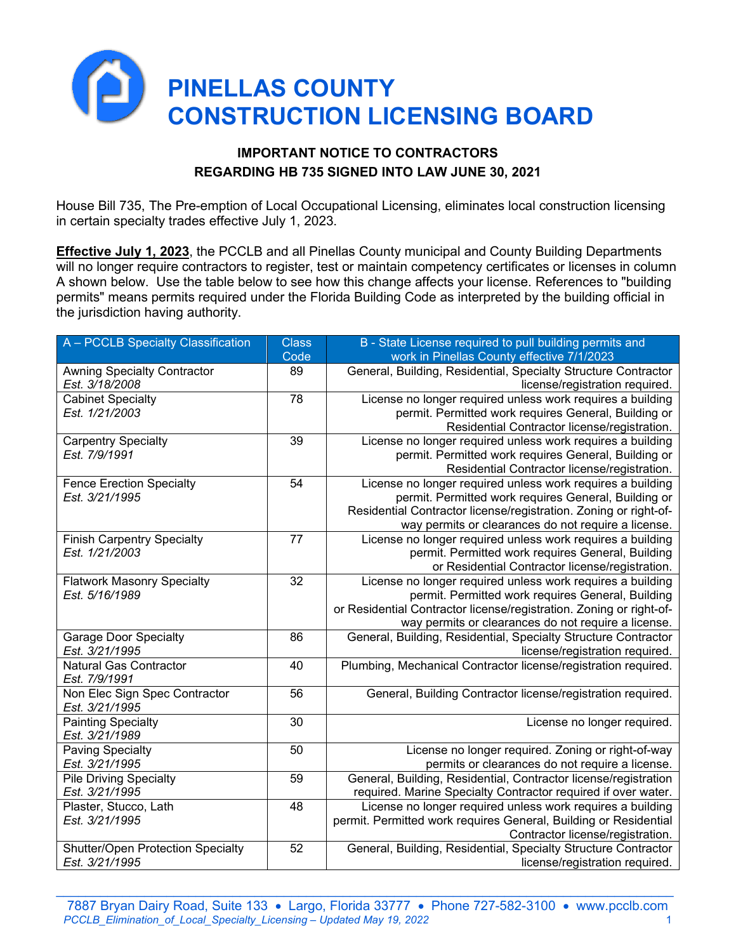

## **IMPORTANT NOTICE TO CONTRACTORS REGARDING HB 735 SIGNED INTO LAW JUNE 30, 2021**

House Bill 735, The Pre-emption of Local Occupational Licensing, eliminates local construction licensing in certain specialty trades effective July 1, 2023.

**Effective July 1, 2023**, the PCCLB and all Pinellas County municipal and County Building Departments will no longer require contractors to register, test or maintain competency certificates or licenses in column A shown below. Use the table below to see how this change affects your license. References to "building permits" means permits required under the Florida Building Code as interpreted by the building official in the jurisdiction having authority.

| A - PCCLB Specialty Classification       | <b>Class</b>    | B - State License required to pull building permits and             |
|------------------------------------------|-----------------|---------------------------------------------------------------------|
|                                          | Code            | work in Pinellas County effective 7/1/2023                          |
| <b>Awning Specialty Contractor</b>       | 89              | General, Building, Residential, Specialty Structure Contractor      |
| Est. 3/18/2008                           |                 | license/registration required.                                      |
| <b>Cabinet Specialty</b>                 | $\overline{78}$ | License no longer required unless work requires a building          |
| Est. 1/21/2003                           |                 | permit. Permitted work requires General, Building or                |
|                                          |                 | Residential Contractor license/registration.                        |
| <b>Carpentry Specialty</b>               | $\overline{39}$ | License no longer required unless work requires a building          |
| Est. 7/9/1991                            |                 | permit. Permitted work requires General, Building or                |
|                                          |                 | Residential Contractor license/registration.                        |
| <b>Fence Erection Specialty</b>          | 54              | License no longer required unless work requires a building          |
| Est. 3/21/1995                           |                 | permit. Permitted work requires General, Building or                |
|                                          |                 | Residential Contractor license/registration. Zoning or right-of-    |
|                                          |                 | way permits or clearances do not require a license.                 |
| <b>Finish Carpentry Specialty</b>        | $\overline{77}$ | License no longer required unless work requires a building          |
| Est. 1/21/2003                           |                 | permit. Permitted work requires General, Building                   |
|                                          |                 | or Residential Contractor license/registration.                     |
| <b>Flatwork Masonry Specialty</b>        | 32              | License no longer required unless work requires a building          |
| Est. 5/16/1989                           |                 | permit. Permitted work requires General, Building                   |
|                                          |                 | or Residential Contractor license/registration. Zoning or right-of- |
|                                          |                 | way permits or clearances do not require a license.                 |
| <b>Garage Door Specialty</b>             | 86              | General, Building, Residential, Specialty Structure Contractor      |
| Est. 3/21/1995                           |                 | license/registration required.                                      |
| <b>Natural Gas Contractor</b>            | 40              | Plumbing, Mechanical Contractor license/registration required.      |
| Est. 7/9/1991                            |                 |                                                                     |
| Non Elec Sign Spec Contractor            | 56              | General, Building Contractor license/registration required.         |
| Est. 3/21/1995                           |                 |                                                                     |
| <b>Painting Specialty</b>                | 30              | License no longer required.                                         |
| Est. 3/21/1989                           |                 |                                                                     |
| <b>Paving Specialty</b>                  | 50              | License no longer required. Zoning or right-of-way                  |
| Est. 3/21/1995                           |                 | permits or clearances do not require a license.                     |
| <b>Pile Driving Specialty</b>            | 59              | General, Building, Residential, Contractor license/registration     |
| Est. 3/21/1995                           |                 | required. Marine Specialty Contractor required if over water.       |
| Plaster, Stucco, Lath                    | 48              | License no longer required unless work requires a building          |
| Est. 3/21/1995                           |                 | permit. Permitted work requires General, Building or Residential    |
|                                          |                 | Contractor license/registration.                                    |
| <b>Shutter/Open Protection Specialty</b> | 52              | General, Building, Residential, Specialty Structure Contractor      |
| Est. 3/21/1995                           |                 | license/registration required.                                      |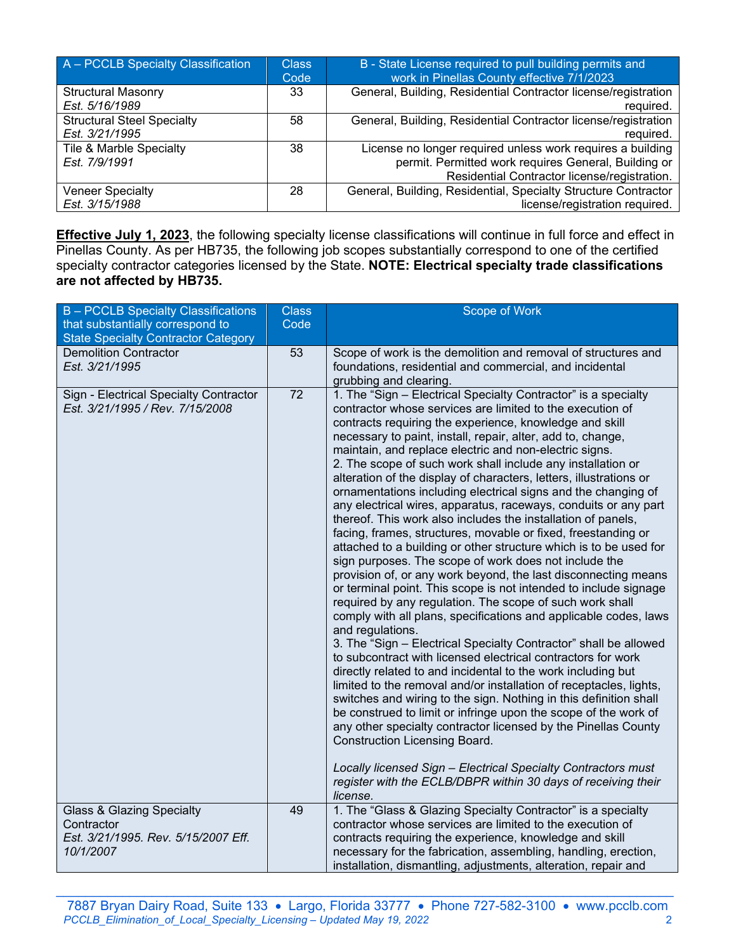| A - PCCLB Specialty Classification | <b>Class</b> | B - State License required to pull building permits and        |
|------------------------------------|--------------|----------------------------------------------------------------|
|                                    | Code         | work in Pinellas County effective 7/1/2023                     |
| <b>Structural Masonry</b>          | 33           | General, Building, Residential Contractor license/registration |
| Est. 5/16/1989                     |              | required.                                                      |
| <b>Structural Steel Specialty</b>  | 58           | General, Building, Residential Contractor license/registration |
| Est. 3/21/1995                     |              | required.                                                      |
| Tile & Marble Specialty            | 38           | License no longer required unless work requires a building     |
| Est. 7/9/1991                      |              | permit. Permitted work requires General, Building or           |
|                                    |              | Residential Contractor license/registration.                   |
| <b>Veneer Specialty</b>            | 28           | General, Building, Residential, Specialty Structure Contractor |
| Est. 3/15/1988                     |              | license/registration required.                                 |

**Effective July 1, 2023**, the following specialty license classifications will continue in full force and effect in Pinellas County. As per HB735, the following job scopes substantially correspond to one of the certified specialty contractor categories licensed by the State. **NOTE: Electrical specialty trade classifications are not affected by HB735.**

| B - PCCLB Specialty Classifications                                                                    | <b>Class</b>    | Scope of Work                                                                                                                                                                                                                                                                                                                                                                                                                                                                                                                                                                                                                                                                                                                                                                                                                                                                                                                                                                                                                                                                                                                                                                                                                                                                                                                                                                                                                                                                                                                                                                                                                                                                                                                                                                                                                                         |
|--------------------------------------------------------------------------------------------------------|-----------------|-------------------------------------------------------------------------------------------------------------------------------------------------------------------------------------------------------------------------------------------------------------------------------------------------------------------------------------------------------------------------------------------------------------------------------------------------------------------------------------------------------------------------------------------------------------------------------------------------------------------------------------------------------------------------------------------------------------------------------------------------------------------------------------------------------------------------------------------------------------------------------------------------------------------------------------------------------------------------------------------------------------------------------------------------------------------------------------------------------------------------------------------------------------------------------------------------------------------------------------------------------------------------------------------------------------------------------------------------------------------------------------------------------------------------------------------------------------------------------------------------------------------------------------------------------------------------------------------------------------------------------------------------------------------------------------------------------------------------------------------------------------------------------------------------------------------------------------------------------|
| that substantially correspond to                                                                       | Code            |                                                                                                                                                                                                                                                                                                                                                                                                                                                                                                                                                                                                                                                                                                                                                                                                                                                                                                                                                                                                                                                                                                                                                                                                                                                                                                                                                                                                                                                                                                                                                                                                                                                                                                                                                                                                                                                       |
| <b>State Specialty Contractor Category</b>                                                             |                 |                                                                                                                                                                                                                                                                                                                                                                                                                                                                                                                                                                                                                                                                                                                                                                                                                                                                                                                                                                                                                                                                                                                                                                                                                                                                                                                                                                                                                                                                                                                                                                                                                                                                                                                                                                                                                                                       |
| <b>Demolition Contractor</b><br>Est. 3/21/1995                                                         | 53              | Scope of work is the demolition and removal of structures and<br>foundations, residential and commercial, and incidental                                                                                                                                                                                                                                                                                                                                                                                                                                                                                                                                                                                                                                                                                                                                                                                                                                                                                                                                                                                                                                                                                                                                                                                                                                                                                                                                                                                                                                                                                                                                                                                                                                                                                                                              |
| Sign - Electrical Specialty Contractor<br>Est. 3/21/1995 / Rev. 7/15/2008                              | $\overline{72}$ | grubbing and clearing.<br>1. The "Sign - Electrical Specialty Contractor" is a specialty<br>contractor whose services are limited to the execution of<br>contracts requiring the experience, knowledge and skill<br>necessary to paint, install, repair, alter, add to, change,<br>maintain, and replace electric and non-electric signs.<br>2. The scope of such work shall include any installation or<br>alteration of the display of characters, letters, illustrations or<br>ornamentations including electrical signs and the changing of<br>any electrical wires, apparatus, raceways, conduits or any part<br>thereof. This work also includes the installation of panels,<br>facing, frames, structures, movable or fixed, freestanding or<br>attached to a building or other structure which is to be used for<br>sign purposes. The scope of work does not include the<br>provision of, or any work beyond, the last disconnecting means<br>or terminal point. This scope is not intended to include signage<br>required by any regulation. The scope of such work shall<br>comply with all plans, specifications and applicable codes, laws<br>and regulations.<br>3. The "Sign - Electrical Specialty Contractor" shall be allowed<br>to subcontract with licensed electrical contractors for work<br>directly related to and incidental to the work including but<br>limited to the removal and/or installation of receptacles, lights,<br>switches and wiring to the sign. Nothing in this definition shall<br>be construed to limit or infringe upon the scope of the work of<br>any other specialty contractor licensed by the Pinellas County<br><b>Construction Licensing Board.</b><br>Locally licensed Sign - Electrical Specialty Contractors must<br>register with the ECLB/DBPR within 30 days of receiving their<br>license. |
| <b>Glass &amp; Glazing Specialty</b><br>Contractor<br>Est. 3/21/1995. Rev. 5/15/2007 Eff.<br>10/1/2007 | 49              | 1. The "Glass & Glazing Specialty Contractor" is a specialty<br>contractor whose services are limited to the execution of<br>contracts requiring the experience, knowledge and skill<br>necessary for the fabrication, assembling, handling, erection,<br>installation, dismantling, adjustments, alteration, repair and                                                                                                                                                                                                                                                                                                                                                                                                                                                                                                                                                                                                                                                                                                                                                                                                                                                                                                                                                                                                                                                                                                                                                                                                                                                                                                                                                                                                                                                                                                                              |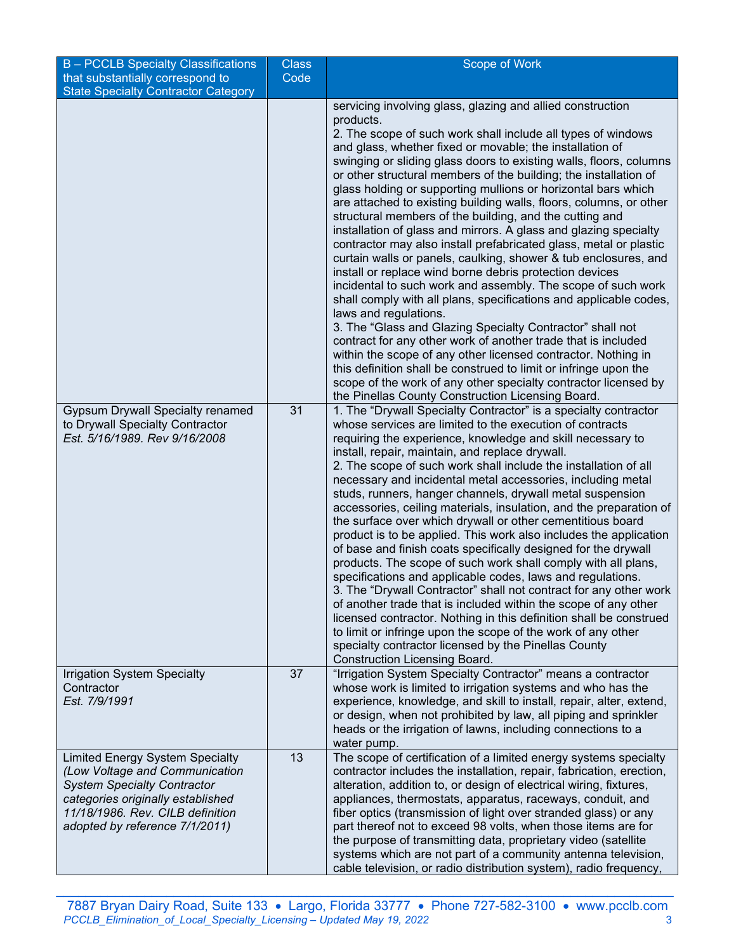| B - PCCLB Specialty Classifications                                   | <b>Class</b> | Scope of Work                                                                                                                          |
|-----------------------------------------------------------------------|--------------|----------------------------------------------------------------------------------------------------------------------------------------|
| that substantially correspond to                                      | Code         |                                                                                                                                        |
| <b>State Specialty Contractor Category</b>                            |              | servicing involving glass, glazing and allied construction                                                                             |
|                                                                       |              | products.                                                                                                                              |
|                                                                       |              | 2. The scope of such work shall include all types of windows                                                                           |
|                                                                       |              | and glass, whether fixed or movable; the installation of                                                                               |
|                                                                       |              | swinging or sliding glass doors to existing walls, floors, columns                                                                     |
|                                                                       |              | or other structural members of the building; the installation of                                                                       |
|                                                                       |              | glass holding or supporting mullions or horizontal bars which                                                                          |
|                                                                       |              | are attached to existing building walls, floors, columns, or other                                                                     |
|                                                                       |              | structural members of the building, and the cutting and<br>installation of glass and mirrors. A glass and glazing specialty            |
|                                                                       |              | contractor may also install prefabricated glass, metal or plastic                                                                      |
|                                                                       |              | curtain walls or panels, caulking, shower & tub enclosures, and                                                                        |
|                                                                       |              | install or replace wind borne debris protection devices                                                                                |
|                                                                       |              | incidental to such work and assembly. The scope of such work                                                                           |
|                                                                       |              | shall comply with all plans, specifications and applicable codes,                                                                      |
|                                                                       |              | laws and regulations.                                                                                                                  |
|                                                                       |              | 3. The "Glass and Glazing Specialty Contractor" shall not<br>contract for any other work of another trade that is included             |
|                                                                       |              | within the scope of any other licensed contractor. Nothing in                                                                          |
|                                                                       |              | this definition shall be construed to limit or infringe upon the                                                                       |
|                                                                       |              | scope of the work of any other specialty contractor licensed by                                                                        |
|                                                                       |              | the Pinellas County Construction Licensing Board.                                                                                      |
| <b>Gypsum Drywall Specialty renamed</b>                               | 31           | 1. The "Drywall Specialty Contractor" is a specialty contractor<br>whose services are limited to the execution of contracts            |
| to Drywall Specialty Contractor<br>Est. 5/16/1989. Rev 9/16/2008      |              | requiring the experience, knowledge and skill necessary to                                                                             |
|                                                                       |              | install, repair, maintain, and replace drywall.                                                                                        |
|                                                                       |              | 2. The scope of such work shall include the installation of all                                                                        |
|                                                                       |              | necessary and incidental metal accessories, including metal                                                                            |
|                                                                       |              | studs, runners, hanger channels, drywall metal suspension                                                                              |
|                                                                       |              | accessories, ceiling materials, insulation, and the preparation of                                                                     |
|                                                                       |              | the surface over which drywall or other cementitious board<br>product is to be applied. This work also includes the application        |
|                                                                       |              | of base and finish coats specifically designed for the drywall                                                                         |
|                                                                       |              | products. The scope of such work shall comply with all plans,                                                                          |
|                                                                       |              | specifications and applicable codes, laws and regulations.                                                                             |
|                                                                       |              | 3. The "Drywall Contractor" shall not contract for any other work                                                                      |
|                                                                       |              | of another trade that is included within the scope of any other                                                                        |
|                                                                       |              | licensed contractor. Nothing in this definition shall be construed<br>to limit or infringe upon the scope of the work of any other     |
|                                                                       |              | specialty contractor licensed by the Pinellas County                                                                                   |
|                                                                       |              | <b>Construction Licensing Board.</b>                                                                                                   |
| <b>Irrigation System Specialty</b>                                    | 37           | "Irrigation System Specialty Contractor" means a contractor                                                                            |
| Contractor                                                            |              | whose work is limited to irrigation systems and who has the                                                                            |
| Est. 7/9/1991                                                         |              | experience, knowledge, and skill to install, repair, alter, extend,<br>or design, when not prohibited by law, all piping and sprinkler |
|                                                                       |              | heads or the irrigation of lawns, including connections to a                                                                           |
|                                                                       |              | water pump.                                                                                                                            |
| <b>Limited Energy System Specialty</b>                                | 13           | The scope of certification of a limited energy systems specialty                                                                       |
| (Low Voltage and Communication                                        |              | contractor includes the installation, repair, fabrication, erection,                                                                   |
| <b>System Specialty Contractor</b>                                    |              | alteration, addition to, or design of electrical wiring, fixtures,                                                                     |
| categories originally established<br>11/18/1986. Rev. CILB definition |              | appliances, thermostats, apparatus, raceways, conduit, and<br>fiber optics (transmission of light over stranded glass) or any          |
| adopted by reference 7/1/2011)                                        |              | part thereof not to exceed 98 volts, when those items are for                                                                          |
|                                                                       |              | the purpose of transmitting data, proprietary video (satellite                                                                         |
|                                                                       |              | systems which are not part of a community antenna television,                                                                          |
|                                                                       |              | cable television, or radio distribution system), radio frequency,                                                                      |

 $\_$  , and the state of the state of the state of the state of the state of the state of the state of the state of the state of the state of the state of the state of the state of the state of the state of the state of the 7887 Bryan Dairy Road, Suite 133 • Largo, Florida 33777 • Phone 727-582-3100 • www.pcclb.com *PCCLB\_Elimination\_of\_Local\_Specialty\_Licensing – Updated May 19, 2022* 3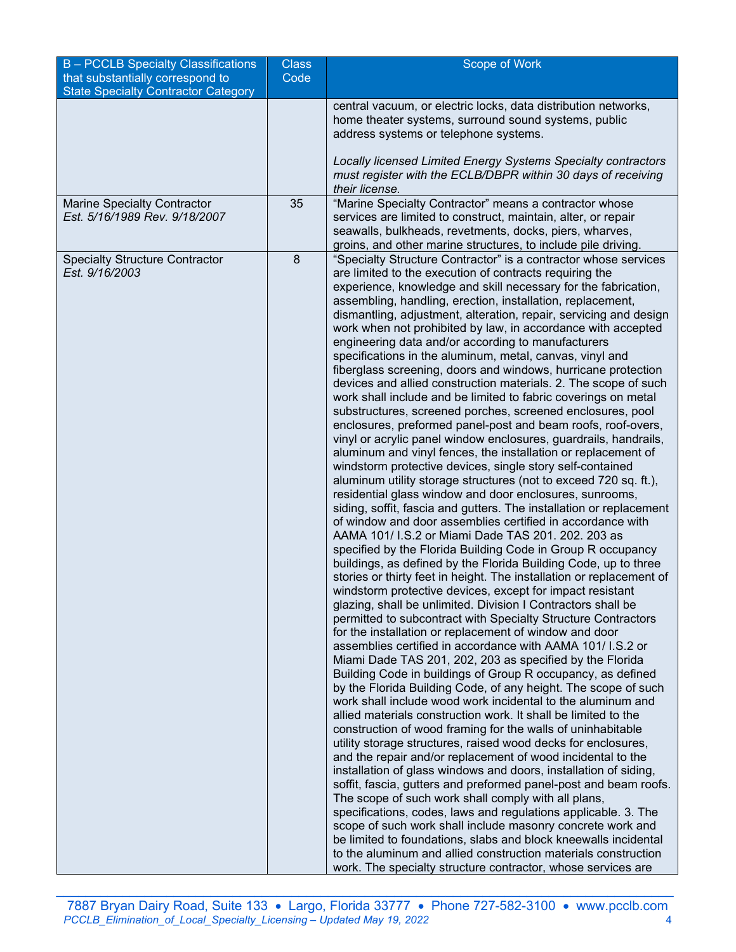| <b>B-PCCLB Specialty Classifications</b>   | <b>Class</b> | Scope of Work                                                                                                                   |
|--------------------------------------------|--------------|---------------------------------------------------------------------------------------------------------------------------------|
| that substantially correspond to           | Code         |                                                                                                                                 |
| <b>State Specialty Contractor Category</b> |              |                                                                                                                                 |
|                                            |              | central vacuum, or electric locks, data distribution networks,                                                                  |
|                                            |              | home theater systems, surround sound systems, public                                                                            |
|                                            |              | address systems or telephone systems.                                                                                           |
|                                            |              | Locally licensed Limited Energy Systems Specialty contractors                                                                   |
|                                            |              | must register with the ECLB/DBPR within 30 days of receiving                                                                    |
|                                            |              | their license.                                                                                                                  |
| <b>Marine Specialty Contractor</b>         | 35           | "Marine Specialty Contractor" means a contractor whose                                                                          |
| Est. 5/16/1989 Rev. 9/18/2007              |              | services are limited to construct, maintain, alter, or repair                                                                   |
|                                            |              | seawalls, bulkheads, revetments, docks, piers, wharves,                                                                         |
|                                            |              | groins, and other marine structures, to include pile driving.                                                                   |
| <b>Specialty Structure Contractor</b>      | 8            | "Specialty Structure Contractor" is a contractor whose services                                                                 |
| Est. 9/16/2003                             |              | are limited to the execution of contracts requiring the                                                                         |
|                                            |              | experience, knowledge and skill necessary for the fabrication,                                                                  |
|                                            |              | assembling, handling, erection, installation, replacement,<br>dismantling, adjustment, alteration, repair, servicing and design |
|                                            |              | work when not prohibited by law, in accordance with accepted                                                                    |
|                                            |              | engineering data and/or according to manufacturers                                                                              |
|                                            |              | specifications in the aluminum, metal, canvas, vinyl and                                                                        |
|                                            |              | fiberglass screening, doors and windows, hurricane protection                                                                   |
|                                            |              | devices and allied construction materials. 2. The scope of such                                                                 |
|                                            |              | work shall include and be limited to fabric coverings on metal                                                                  |
|                                            |              | substructures, screened porches, screened enclosures, pool                                                                      |
|                                            |              | enclosures, preformed panel-post and beam roofs, roof-overs,                                                                    |
|                                            |              | vinyl or acrylic panel window enclosures, guardrails, handrails,                                                                |
|                                            |              | aluminum and vinyl fences, the installation or replacement of                                                                   |
|                                            |              | windstorm protective devices, single story self-contained                                                                       |
|                                            |              | aluminum utility storage structures (not to exceed 720 sq. ft.),<br>residential glass window and door enclosures, sunrooms,     |
|                                            |              | siding, soffit, fascia and gutters. The installation or replacement                                                             |
|                                            |              | of window and door assemblies certified in accordance with                                                                      |
|                                            |              | AAMA 101/ I.S.2 or Miami Dade TAS 201. 202. 203 as                                                                              |
|                                            |              | specified by the Florida Building Code in Group R occupancy                                                                     |
|                                            |              | buildings, as defined by the Florida Building Code, up to three                                                                 |
|                                            |              | stories or thirty feet in height. The installation or replacement of                                                            |
|                                            |              | windstorm protective devices, except for impact resistant                                                                       |
|                                            |              | glazing, shall be unlimited. Division I Contractors shall be                                                                    |
|                                            |              | permitted to subcontract with Specialty Structure Contractors                                                                   |
|                                            |              | for the installation or replacement of window and door                                                                          |
|                                            |              | assemblies certified in accordance with AAMA 101/ I.S.2 or<br>Miami Dade TAS 201, 202, 203 as specified by the Florida          |
|                                            |              | Building Code in buildings of Group R occupancy, as defined                                                                     |
|                                            |              | by the Florida Building Code, of any height. The scope of such                                                                  |
|                                            |              | work shall include wood work incidental to the aluminum and                                                                     |
|                                            |              | allied materials construction work. It shall be limited to the                                                                  |
|                                            |              | construction of wood framing for the walls of uninhabitable                                                                     |
|                                            |              | utility storage structures, raised wood decks for enclosures,                                                                   |
|                                            |              | and the repair and/or replacement of wood incidental to the                                                                     |
|                                            |              | installation of glass windows and doors, installation of siding,                                                                |
|                                            |              | soffit, fascia, gutters and preformed panel-post and beam roofs.                                                                |
|                                            |              | The scope of such work shall comply with all plans,                                                                             |
|                                            |              | specifications, codes, laws and regulations applicable. 3. The<br>scope of such work shall include masonry concrete work and    |
|                                            |              | be limited to foundations, slabs and block kneewalls incidental                                                                 |
|                                            |              | to the aluminum and allied construction materials construction                                                                  |
|                                            |              | work. The specialty structure contractor, whose services are                                                                    |